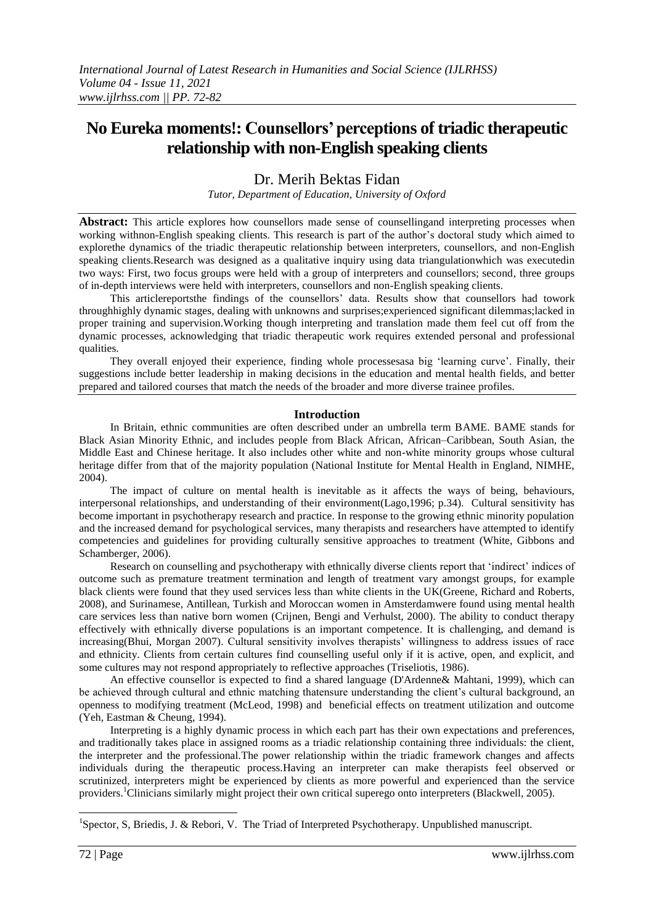# **No Eureka moments!: Counsellors' perceptions of triadic therapeutic relationship with non-English speaking clients**

Dr. Merih Bektas Fidan

*Tutor, Department of Education, University of Oxford*

**Abstract:** This article explores how counsellors made sense of counsellingand interpreting processes when working withnon-English speaking clients. This research is part of the author's doctoral study which aimed to explorethe dynamics of the triadic therapeutic relationship between interpreters, counsellors, and non-English speaking clients.Research was designed as a qualitative inquiry using data triangulationwhich was executedin two ways: First, two focus groups were held with a group of interpreters and counsellors; second, three groups of in-depth interviews were held with interpreters, counsellors and non-English speaking clients.

This articlereportsthe findings of the counsellors' data. Results show that counsellors had towork throughhighly dynamic stages, dealing with unknowns and surprises;experienced significant dilemmas;lacked in proper training and supervision.Working though interpreting and translation made them feel cut off from the dynamic processes, acknowledging that triadic therapeutic work requires extended personal and professional qualities.

They overall enjoyed their experience, finding whole processesasa big 'learning curve'. Finally, their suggestions include better leadership in making decisions in the education and mental health fields, and better prepared and tailored courses that match the needs of the broader and more diverse trainee profiles.

# **Introduction**

In Britain, ethnic communities are often described under an umbrella term BAME. BAME stands for Black Asian Minority Ethnic, and includes people from Black African, African–Caribbean, South Asian, the Middle East and Chinese heritage. It also includes other white and non-white minority groups whose cultural heritage differ from that of the majority population (National Institute for Mental Health in England, NIMHE, 2004).

The impact of culture on mental health is inevitable as it affects the ways of being, behaviours, interpersonal relationships, and understanding of their environment(Lago,1996; p.34). Cultural sensitivity has become important in psychotherapy research and practice. In response to the growing ethnic minority population and the increased demand for psychological services, many therapists and researchers have attempted to identify competencies and guidelines for providing culturally sensitive approaches to treatment (White, Gibbons and Schamberger, 2006).

Research on counselling and psychotherapy with ethnically diverse clients report that 'indirect' indices of outcome such as premature treatment termination and length of treatment vary amongst groups, for example black clients were found that they used services less than white clients in the UK(Greene, Richard and Roberts, 2008), and Surinamese, Antillean, Turkish and Moroccan women in Amsterdamwere found using mental health care services less than native born women (Crijnen, Bengi and Verhulst, 2000). The ability to conduct therapy effectively with ethnically diverse populations is an important competence. It is challenging, and demand is increasing(Bhui, Morgan 2007). Cultural sensitivity involves therapists' willingness to address issues of race and ethnicity. Clients from certain cultures find counselling useful only if it is active, open, and explicit, and some cultures may not respond appropriately to reflective approaches (Triseliotis, 1986).

An effective counsellor is expected to find a shared language (D'Ardenne& Mahtani, 1999), which can be achieved through cultural and ethnic matching thatensure understanding the client's cultural background, an openness to modifying treatment (McLeod, 1998) and beneficial effects on treatment utilization and outcome (Yeh, Eastman & Cheung, 1994).

Interpreting is a highly dynamic process in which each part has their own expectations and preferences, and traditionally takes place in assigned rooms as a triadic relationship containing three individuals: the client, the interpreter and the professional.The power relationship within the triadic framework changes and affects individuals during the therapeutic process.Having an interpreter can make therapists feel observed or scrutinized, interpreters might be experienced by clients as more powerful and experienced than the service providers.<sup>1</sup>Clinicians similarly might project their own critical superego onto interpreters (Blackwell, 2005).

<sup>1</sup>Spector, S, Briedis, J. & Rebori, V. The Triad of Interpreted Psychotherapy. Unpublished manuscript.

-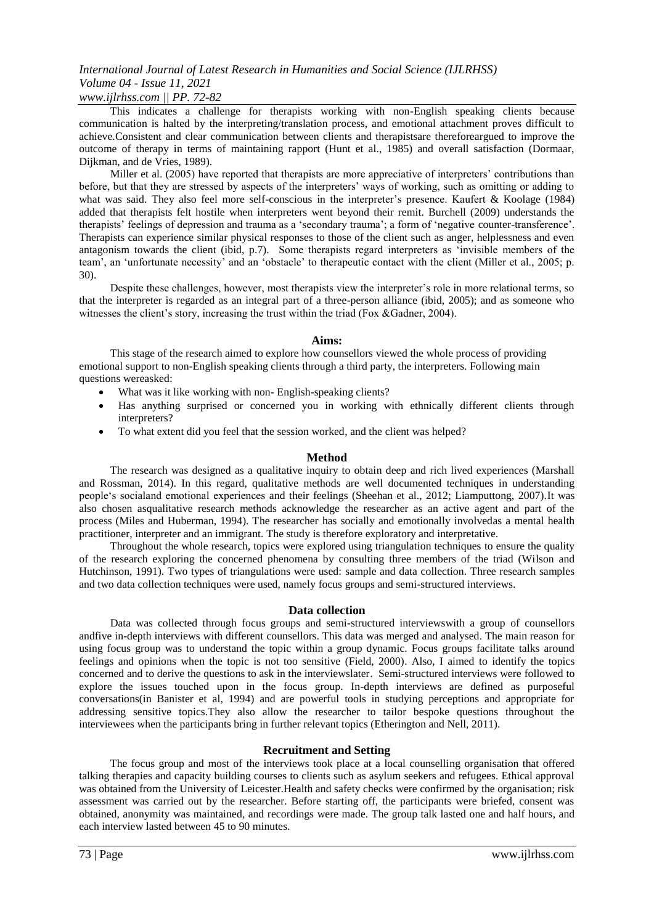# *www.ijlrhss.com || PP. 72-82*

This indicates a challenge for therapists working with non-English speaking clients because communication is halted by the interpreting/translation process, and emotional attachment proves difficult to achieve.Consistent and clear communication between clients and therapistsare thereforeargued to improve the outcome of therapy in terms of maintaining rapport (Hunt et al., 1985) and overall satisfaction (Dormaar, Dijkman, and de Vries, 1989).

Miller et al. (2005) have reported that therapists are more appreciative of interpreters' contributions than before, but that they are stressed by aspects of the interpreters' ways of working, such as omitting or adding to what was said. They also feel more self-conscious in the interpreter's presence. Kaufert & Koolage (1984) added that therapists felt hostile when interpreters went beyond their remit. Burchell (2009) understands the therapists' feelings of depression and trauma as a 'secondary trauma'; a form of 'negative counter-transference'. Therapists can experience similar physical responses to those of the client such as anger, helplessness and even antagonism towards the client (ibid, p.7). Some therapists regard interpreters as 'invisible members of the team', an 'unfortunate necessity' and an 'obstacle' to therapeutic contact with the client (Miller et al., 2005; p. 30).

Despite these challenges, however, most therapists view the interpreter's role in more relational terms, so that the interpreter is regarded as an integral part of a three-person alliance (ibid, 2005); and as someone who witnesses the client's story, increasing the trust within the triad (Fox &Gadner, 2004).

#### **Aims:**

This stage of the research aimed to explore how counsellors viewed the whole process of providing emotional support to non-English speaking clients through a third party, the interpreters. Following main questions wereasked:

- What was it like working with non-English-speaking clients?
- Has anything surprised or concerned you in working with ethnically different clients through interpreters?
- To what extent did you feel that the session worked, and the client was helped?

### **Method**

The research was designed as a qualitative inquiry to obtain deep and rich lived experiences (Marshall and Rossman, 2014). In this regard, qualitative methods are well documented techniques in understanding people's socialand emotional experiences and their feelings (Sheehan et al., 2012; Liamputtong, 2007).It was also chosen asqualitative research methods acknowledge the researcher as an active agent and part of the process (Miles and Huberman, 1994). The researcher has socially and emotionally involvedas a mental health practitioner, interpreter and an immigrant. The study is therefore exploratory and interpretative.

Throughout the whole research, topics were explored using triangulation techniques to ensure the quality of the research exploring the concerned phenomena by consulting three members of the triad (Wilson and Hutchinson, 1991). Two types of triangulations were used: sample and data collection. Three research samples and two data collection techniques were used, namely focus groups and semi-structured interviews.

#### **Data collection**

Data was collected through focus groups and semi-structured interviewswith a group of counsellors andfive in-depth interviews with different counsellors. This data was merged and analysed. The main reason for using focus group was to understand the topic within a group dynamic. Focus groups facilitate talks around feelings and opinions when the topic is not too sensitive (Field, 2000). Also, I aimed to identify the topics concerned and to derive the questions to ask in the interviewslater. Semi-structured interviews were followed to explore the issues touched upon in the focus group. In-depth interviews are defined as purposeful conversations(in Banister et al, 1994) and are powerful tools in studying perceptions and appropriate for addressing sensitive topics.They also allow the researcher to tailor bespoke questions throughout the interviewees when the participants bring in further relevant topics (Etherington and Nell, 2011).

#### **Recruitment and Setting**

The focus group and most of the interviews took place at a local counselling organisation that offered talking therapies and capacity building courses to clients such as asylum seekers and refugees. Ethical approval was obtained from the University of Leicester.Health and safety checks were confirmed by the organisation; risk assessment was carried out by the researcher. Before starting off, the participants were briefed, consent was obtained, anonymity was maintained, and recordings were made. The group talk lasted one and half hours, and each interview lasted between 45 to 90 minutes.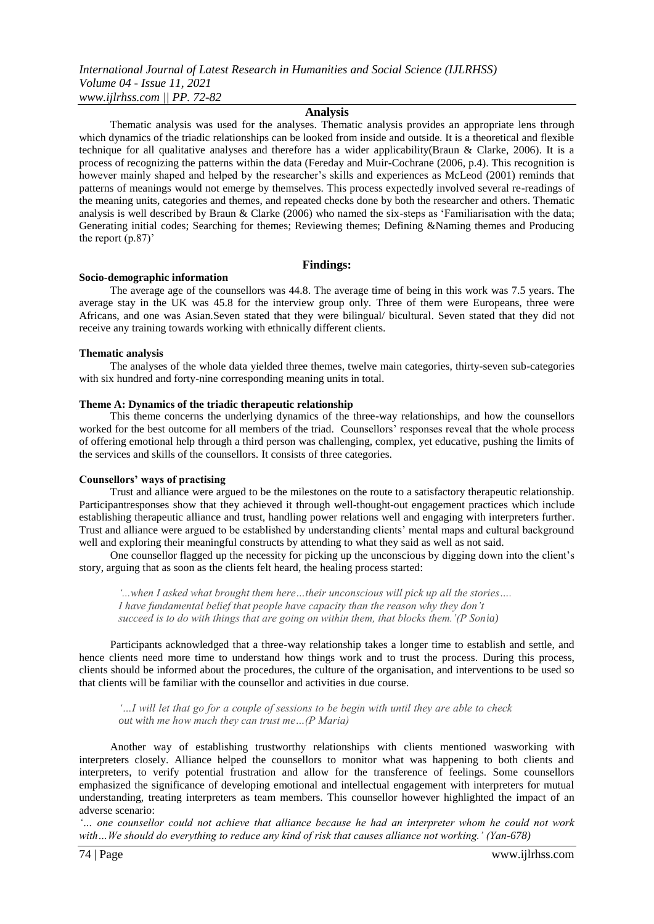#### **Analysis**

Thematic analysis was used for the analyses. Thematic analysis provides an appropriate lens through which dynamics of the triadic relationships can be looked from inside and outside. It is a theoretical and flexible technique for all qualitative analyses and therefore has a wider applicability(Braun & Clarke, 2006). It is a process of recognizing the patterns within the data (Fereday and Muir-Cochrane (2006, p.4). This recognition is however mainly shaped and helped by the researcher's skills and experiences as McLeod (2001) reminds that patterns of meanings would not emerge by themselves. This process expectedly involved several re-readings of the meaning units, categories and themes, and repeated checks done by both the researcher and others. Thematic analysis is well described by Braun & Clarke (2006) who named the six-steps as 'Familiarisation with the data; Generating initial codes; Searching for themes; Reviewing themes; Defining &Naming themes and Producing the report (p.87)'

#### **Findings:**

#### **Socio-demographic information**

The average age of the counsellors was 44.8. The average time of being in this work was 7.5 years. The average stay in the UK was 45.8 for the interview group only. Three of them were Europeans, three were Africans, and one was Asian.Seven stated that they were bilingual/ bicultural. Seven stated that they did not receive any training towards working with ethnically different clients.

#### **Thematic analysis**

The analyses of the whole data yielded three themes, twelve main categories, thirty-seven sub-categories with six hundred and forty-nine corresponding meaning units in total.

#### **Theme A: Dynamics of the triadic therapeutic relationship**

This theme concerns the underlying dynamics of the three-way relationships, and how the counsellors worked for the best outcome for all members of the triad. Counsellors' responses reveal that the whole process of offering emotional help through a third person was challenging, complex, yet educative, pushing the limits of the services and skills of the counsellors. It consists of three categories.

#### **Counsellors' ways of practising**

Trust and alliance were argued to be the milestones on the route to a satisfactory therapeutic relationship. Participantresponses show that they achieved it through well-thought-out engagement practices which include establishing therapeutic alliance and trust, handling power relations well and engaging with interpreters further. Trust and alliance were argued to be established by understanding clients' mental maps and cultural background well and exploring their meaningful constructs by attending to what they said as well as not said.

One counsellor flagged up the necessity for picking up the unconscious by digging down into the client's story, arguing that as soon as the clients felt heard, the healing process started:

*'...when I asked what brought them here…their unconscious will pick up all the stories…. I have fundamental belief that people have capacity than the reason why they don't succeed is to do with things that are going on within them, that blocks them.'(P Sonia)*

Participants acknowledged that a three-way relationship takes a longer time to establish and settle, and hence clients need more time to understand how things work and to trust the process. During this process, clients should be informed about the procedures, the culture of the organisation, and interventions to be used so that clients will be familiar with the counsellor and activities in due course.

*'…I will let that go for a couple of sessions to be begin with until they are able to check out with me how much they can trust me…(P Maria)*

Another way of establishing trustworthy relationships with clients mentioned wasworking with interpreters closely. Alliance helped the counsellors to monitor what was happening to both clients and interpreters, to verify potential frustration and allow for the transference of feelings. Some counsellors emphasized the significance of developing emotional and intellectual engagement with interpreters for mutual understanding, treating interpreters as team members. This counsellor however highlighted the impact of an adverse scenario:

*'… one counsellor could not achieve that alliance because he had an interpreter whom he could not work*  with...We should do everything to reduce any kind of risk that causes alliance not working.' (Yan-678)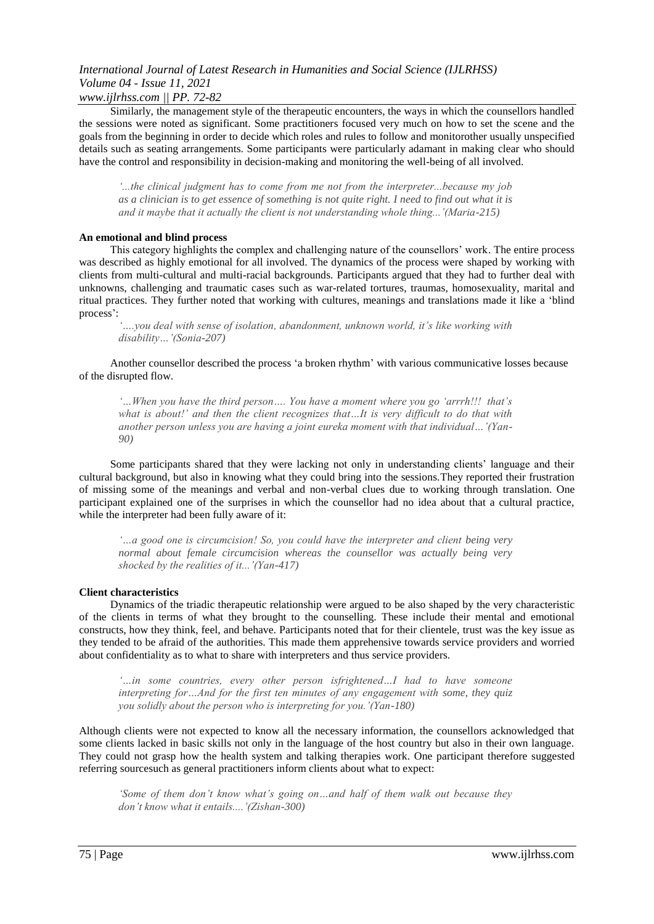*www.ijlrhss.com || PP. 72-82*

Similarly, the management style of the therapeutic encounters, the ways in which the counsellors handled the sessions were noted as significant. Some practitioners focused very much on how to set the scene and the goals from the beginning in order to decide which roles and rules to follow and monitorother usually unspecified details such as seating arrangements. Some participants were particularly adamant in making clear who should have the control and responsibility in decision-making and monitoring the well-being of all involved.

*'...the clinical judgment has to come from me not from the interpreter...because my job as a clinician is to get essence of something is not quite right. I need to find out what it is and it maybe that it actually the client is not understanding whole thing...'(Maria-215)* 

#### **An emotional and blind process**

This category highlights the complex and challenging nature of the counsellors' work. The entire process was described as highly emotional for all involved. The dynamics of the process were shaped by working with clients from multi-cultural and multi-racial backgrounds. Participants argued that they had to further deal with unknowns, challenging and traumatic cases such as war-related tortures, traumas, homosexuality, marital and ritual practices. They further noted that working with cultures, meanings and translations made it like a 'blind process':

*'….you deal with sense of isolation, abandonment, unknown world, it's like working with disability…'(Sonia-207)*

Another counsellor described the process 'a broken rhythm' with various communicative losses because of the disrupted flow.

*'…When you have the third person…. You have a moment where you go 'arrrh!!! that's what is about!' and then the client recognizes that…It is very difficult to do that with another person unless you are having a joint eureka moment with that individual…'(Yan-90)*

Some participants shared that they were lacking not only in understanding clients' language and their cultural background, but also in knowing what they could bring into the sessions.They reported their frustration of missing some of the meanings and verbal and non-verbal clues due to working through translation. One participant explained one of the surprises in which the counsellor had no idea about that a cultural practice, while the interpreter had been fully aware of it:

*'…a good one is circumcision! So, you could have the interpreter and client being very normal about female circumcision whereas the counsellor was actually being very shocked by the realities of it...'(Yan-417)*

#### **Client characteristics**

Dynamics of the triadic therapeutic relationship were argued to be also shaped by the very characteristic of the clients in terms of what they brought to the counselling. These include their mental and emotional constructs, how they think, feel, and behave. Participants noted that for their clientele, trust was the key issue as they tended to be afraid of the authorities. This made them apprehensive towards service providers and worried about confidentiality as to what to share with interpreters and thus service providers.

*'…in some countries, every other person isfrightened…I had to have someone interpreting for…And for the first ten minutes of any engagement with some, they quiz you solidly about the person who is interpreting for you.'(Yan-180)*

Although clients were not expected to know all the necessary information, the counsellors acknowledged that some clients lacked in basic skills not only in the language of the host country but also in their own language. They could not grasp how the health system and talking therapies work. One participant therefore suggested referring sourcesuch as general practitioners inform clients about what to expect:

*'Some of them don't know what's going on…and half of them walk out because they don't know what it entails....'(Zishan-300)*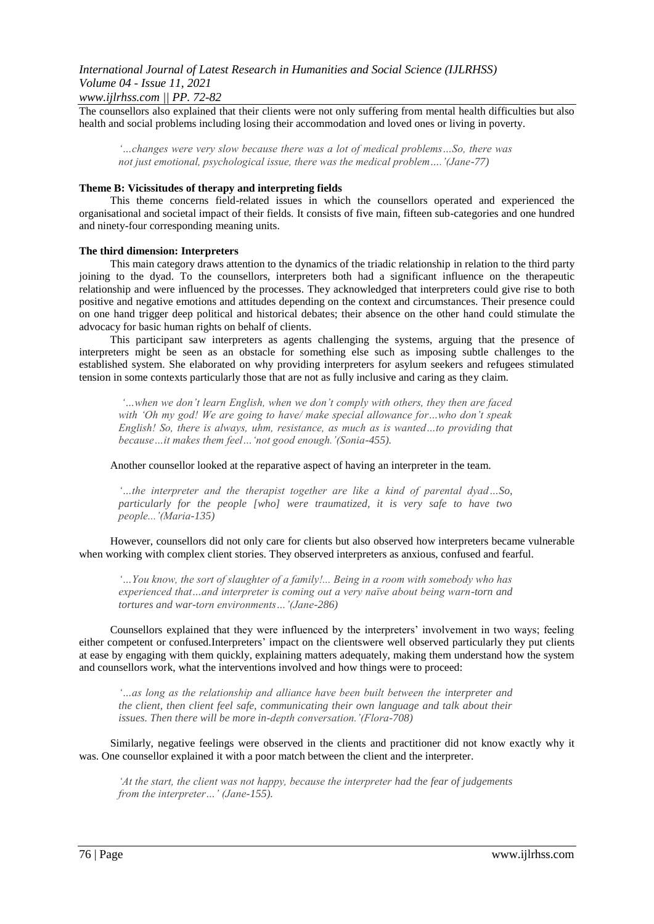The counsellors also explained that their clients were not only suffering from mental health difficulties but also health and social problems including losing their accommodation and loved ones or living in poverty.

*'…changes were very slow because there was a lot of medical problems…So, there was not just emotional, psychological issue, there was the medical problem….'(Jane-77)*

#### **Theme B: Vicissitudes of therapy and interpreting fields**

This theme concerns field-related issues in which the counsellors operated and experienced the organisational and societal impact of their fields. It consists of five main, fifteen sub-categories and one hundred and ninety-four corresponding meaning units.

#### **The third dimension: Interpreters**

This main category draws attention to the dynamics of the triadic relationship in relation to the third party joining to the dyad. To the counsellors, interpreters both had a significant influence on the therapeutic relationship and were influenced by the processes. They acknowledged that interpreters could give rise to both positive and negative emotions and attitudes depending on the context and circumstances. Their presence could on one hand trigger deep political and historical debates; their absence on the other hand could stimulate the advocacy for basic human rights on behalf of clients.

This participant saw interpreters as agents challenging the systems, arguing that the presence of interpreters might be seen as an obstacle for something else such as imposing subtle challenges to the established system. She elaborated on why providing interpreters for asylum seekers and refugees stimulated tension in some contexts particularly those that are not as fully inclusive and caring as they claim.

*'…when we don't learn English, when we don't comply with others, they then are faced with 'Oh my god! We are going to have/ make special allowance for…who don't speak English! So, there is always, uhm, resistance, as much as is wanted…to providing that because…it makes them feel…'not good enough.'(Sonia-455).*

Another counsellor looked at the reparative aspect of having an interpreter in the team.

*'…the interpreter and the therapist together are like a kind of parental dyad…So, particularly for the people [who] were traumatized, it is very safe to have two people...'(Maria-135)*

However, counsellors did not only care for clients but also observed how interpreters became vulnerable when working with complex client stories. They observed interpreters as anxious, confused and fearful.

*'…You know, the sort of slaughter of a family!... Being in a room with somebody who has experienced that…and interpreter is coming out a very naïve about being warn-torn and tortures and war-torn environments…'(Jane-286)*

Counsellors explained that they were influenced by the interpreters' involvement in two ways; feeling either competent or confused.Interpreters' impact on the clientswere well observed particularly they put clients at ease by engaging with them quickly, explaining matters adequately, making them understand how the system and counsellors work, what the interventions involved and how things were to proceed:

*'…as long as the relationship and alliance have been built between the interpreter and the client, then client feel safe, communicating their own language and talk about their issues. Then there will be more in-depth conversation.'(Flora-708)*

Similarly, negative feelings were observed in the clients and practitioner did not know exactly why it was. One counsellor explained it with a poor match between the client and the interpreter.

*'At the start, the client was not happy, because the interpreter had the fear of judgements from the interpreter…' (Jane-155).*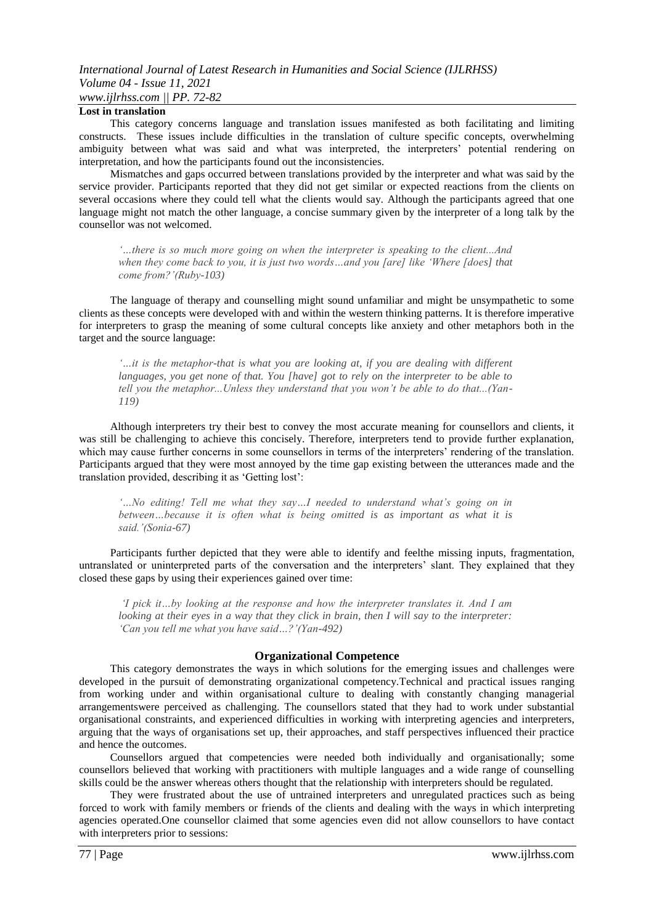# *International Journal of Latest Research in Humanities and Social Science (IJLRHSS) Volume 04 - Issue 11, 2021 www.ijlrhss.com || PP. 72-82*

#### **Lost in translation**

This category concerns language and translation issues manifested as both facilitating and limiting constructs. These issues include difficulties in the translation of culture specific concepts, overwhelming ambiguity between what was said and what was interpreted, the interpreters' potential rendering on interpretation, and how the participants found out the inconsistencies.

Mismatches and gaps occurred between translations provided by the interpreter and what was said by the service provider. Participants reported that they did not get similar or expected reactions from the clients on several occasions where they could tell what the clients would say. Although the participants agreed that one language might not match the other language, a concise summary given by the interpreter of a long talk by the counsellor was not welcomed.

*'…there is so much more going on when the interpreter is speaking to the client...And when they come back to you, it is just two words…and you [are] like 'Where [does] that come from?'(Ruby-103)*

The language of therapy and counselling might sound unfamiliar and might be unsympathetic to some clients as these concepts were developed with and within the western thinking patterns. It is therefore imperative for interpreters to grasp the meaning of some cultural concepts like anxiety and other metaphors both in the target and the source language:

*'…it is the metaphor-that is what you are looking at, if you are dealing with different languages, you get none of that. You [have] got to rely on the interpreter to be able to tell you the metaphor...Unless they understand that you won't be able to do that...(Yan-119)*

Although interpreters try their best to convey the most accurate meaning for counsellors and clients, it was still be challenging to achieve this concisely. Therefore, interpreters tend to provide further explanation, which may cause further concerns in some counsellors in terms of the interpreters' rendering of the translation. Participants argued that they were most annoyed by the time gap existing between the utterances made and the translation provided, describing it as 'Getting lost':

*'…No editing! Tell me what they say…I needed to understand what's going on in between…because it is often what is being omitted is as important as what it is said.'(Sonia-67)* 

Participants further depicted that they were able to identify and feelthe missing inputs, fragmentation, untranslated or uninterpreted parts of the conversation and the interpreters' slant. They explained that they closed these gaps by using their experiences gained over time:

*'I pick it…by looking at the response and how the interpreter translates it. And I am looking at their eyes in a way that they click in brain, then I will say to the interpreter: 'Can you tell me what you have said…?'(Yan-492)*

#### **Organizational Competence**

This category demonstrates the ways in which solutions for the emerging issues and challenges were developed in the pursuit of demonstrating organizational competency.Technical and practical issues ranging from working under and within organisational culture to dealing with constantly changing managerial arrangementswere perceived as challenging. The counsellors stated that they had to work under substantial organisational constraints, and experienced difficulties in working with interpreting agencies and interpreters, arguing that the ways of organisations set up, their approaches, and staff perspectives influenced their practice and hence the outcomes.

Counsellors argued that competencies were needed both individually and organisationally; some counsellors believed that working with practitioners with multiple languages and a wide range of counselling skills could be the answer whereas others thought that the relationship with interpreters should be regulated.

They were frustrated about the use of untrained interpreters and unregulated practices such as being forced to work with family members or friends of the clients and dealing with the ways in which interpreting agencies operated.One counsellor claimed that some agencies even did not allow counsellors to have contact with interpreters prior to sessions: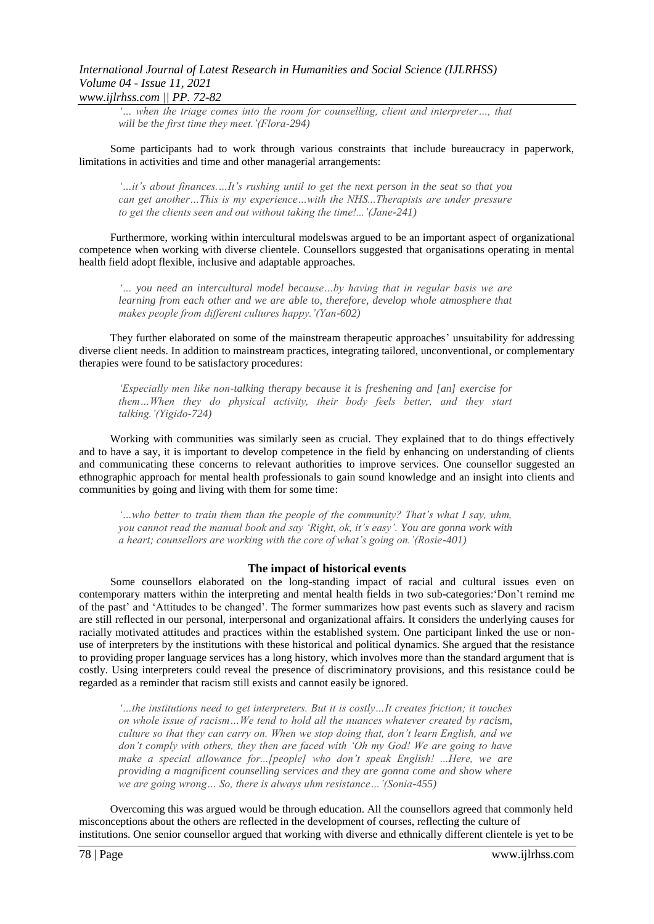## *International Journal of Latest Research in Humanities and Social Science (IJLRHSS) Volume 04 - Issue 11, 2021 www.ijlrhss.com || PP. 72-82*

*'… when the triage comes into the room for counselling, client and interpreter…, that will be the first time they meet.'(Flora-294)* 

Some participants had to work through various constraints that include bureaucracy in paperwork, limitations in activities and time and other managerial arrangements:

*'…it's about finances.…It's rushing until to get the next person in the seat so that you can get another…This is my experience…with the NHS...Therapists are under pressure to get the clients seen and out without taking the time!...'(Jane-241)*

Furthermore, working within intercultural modelswas argued to be an important aspect of organizational competence when working with diverse clientele. Counsellors suggested that organisations operating in mental health field adopt flexible, inclusive and adaptable approaches.

*'… you need an intercultural model because…by having that in regular basis we are learning from each other and we are able to, therefore, develop whole atmosphere that makes people from different cultures happy.'(Yan-602)*

They further elaborated on some of the mainstream therapeutic approaches' unsuitability for addressing diverse client needs. In addition to mainstream practices, integrating tailored, unconventional, or complementary therapies were found to be satisfactory procedures:

*'Especially men like non-talking therapy because it is freshening and [an] exercise for them…When they do physical activity, their body feels better, and they start talking.'(Yigido-724)*

Working with communities was similarly seen as crucial. They explained that to do things effectively and to have a say, it is important to develop competence in the field by enhancing on understanding of clients and communicating these concerns to relevant authorities to improve services. One counsellor suggested an ethnographic approach for mental health professionals to gain sound knowledge and an insight into clients and communities by going and living with them for some time:

*'…who better to train them than the people of the community? That's what I say, uhm, you cannot read the manual book and say 'Right, ok, it's easy'. You are gonna work with a heart; counsellors are working with the core of what's going on.'(Rosie-401)*

#### **The impact of historical events**

Some counsellors elaborated on the long-standing impact of racial and cultural issues even on contemporary matters within the interpreting and mental health fields in two sub-categories:'Don't remind me of the past' and 'Attitudes to be changed'. The former summarizes how past events such as slavery and racism are still reflected in our personal, interpersonal and organizational affairs. It considers the underlying causes for racially motivated attitudes and practices within the established system. One participant linked the use or nonuse of interpreters by the institutions with these historical and political dynamics. She argued that the resistance to providing proper language services has a long history, which involves more than the standard argument that is costly. Using interpreters could reveal the presence of discriminatory provisions, and this resistance could be regarded as a reminder that racism still exists and cannot easily be ignored.

*'…the institutions need to get interpreters. But it is costly…It creates friction; it touches on whole issue of racism…We tend to hold all the nuances whatever created by racism, culture so that they can carry on. When we stop doing that, don't learn English, and we don't comply with others, they then are faced with 'Oh my God! We are going to have make a special allowance for...[people] who don't speak English! ...Here, we are providing a magnificent counselling services and they are gonna come and show where we are going wrong… So, there is always uhm resistance…'(Sonia-455)*

Overcoming this was argued would be through education. All the counsellors agreed that commonly held misconceptions about the others are reflected in the development of courses, reflecting the culture of institutions. One senior counsellor argued that working with diverse and ethnically different clientele is yet to be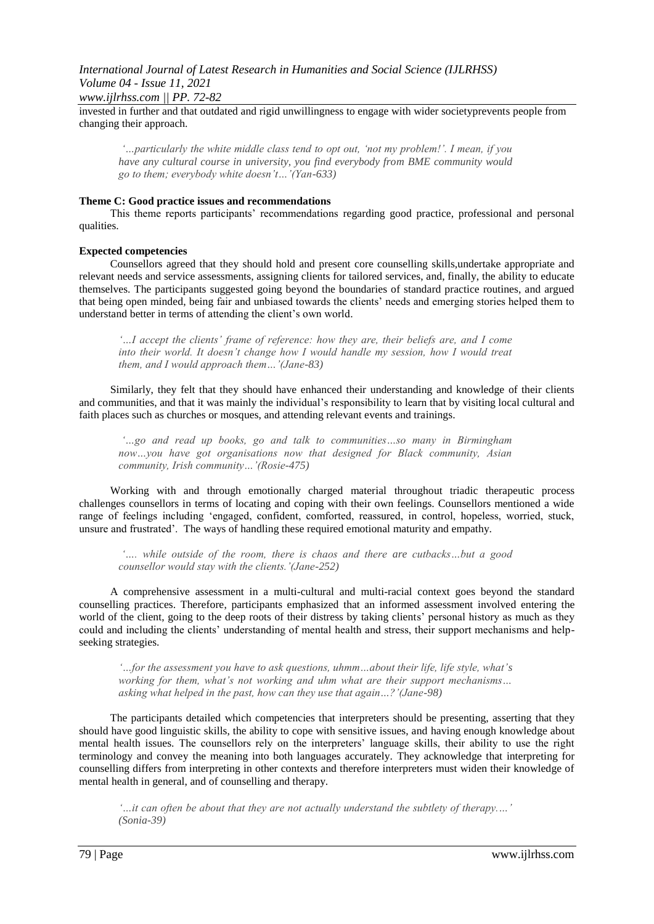*www.ijlrhss.com || PP. 72-82*

invested in further and that outdated and rigid unwillingness to engage with wider societyprevents people from changing their approach.

*'…particularly the white middle class tend to opt out, 'not my problem!'. I mean, if you have any cultural course in university, you find everybody from BME community would go to them; everybody white doesn't…'(Yan-633)*

## **Theme C: Good practice issues and recommendations**

This theme reports participants' recommendations regarding good practice, professional and personal qualities.

#### **Expected competencies**

Counsellors agreed that they should hold and present core counselling skills,undertake appropriate and relevant needs and service assessments, assigning clients for tailored services, and, finally, the ability to educate themselves. The participants suggested going beyond the boundaries of standard practice routines, and argued that being open minded, being fair and unbiased towards the clients' needs and emerging stories helped them to understand better in terms of attending the client's own world.

*'…I accept the clients' frame of reference: how they are, their beliefs are, and I come into their world. It doesn't change how I would handle my session, how I would treat them, and I would approach them…'(Jane-83)*

Similarly, they felt that they should have enhanced their understanding and knowledge of their clients and communities, and that it was mainly the individual's responsibility to learn that by visiting local cultural and faith places such as churches or mosques, and attending relevant events and trainings.

*'…go and read up books, go and talk to communities…so many in Birmingham now…you have got organisations now that designed for Black community, Asian community, Irish community…'(Rosie-475)*

Working with and through emotionally charged material throughout triadic therapeutic process challenges counsellors in terms of locating and coping with their own feelings. Counsellors mentioned a wide range of feelings including 'engaged, confident, comforted, reassured, in control, hopeless, worried, stuck, unsure and frustrated'. The ways of handling these required emotional maturity and empathy.

*'…. while outside of the room, there is chaos and there are cutbacks…but a good counsellor would stay with the clients.'(Jane-252)*

A comprehensive assessment in a multi-cultural and multi-racial context goes beyond the standard counselling practices. Therefore, participants emphasized that an informed assessment involved entering the world of the client, going to the deep roots of their distress by taking clients' personal history as much as they could and including the clients' understanding of mental health and stress, their support mechanisms and helpseeking strategies.

*'…for the assessment you have to ask questions, uhmm…about their life, life style, what's working for them, what's not working and uhm what are their support mechanisms… asking what helped in the past, how can they use that again…?'(Jane-98)*

The participants detailed which competencies that interpreters should be presenting, asserting that they should have good linguistic skills, the ability to cope with sensitive issues, and having enough knowledge about mental health issues. The counsellors rely on the interpreters' language skills, their ability to use the right terminology and convey the meaning into both languages accurately. They acknowledge that interpreting for counselling differs from interpreting in other contexts and therefore interpreters must widen their knowledge of mental health in general, and of counselling and therapy.

*'…it can often be about that they are not actually understand the subtlety of therapy.…' (Sonia-39)*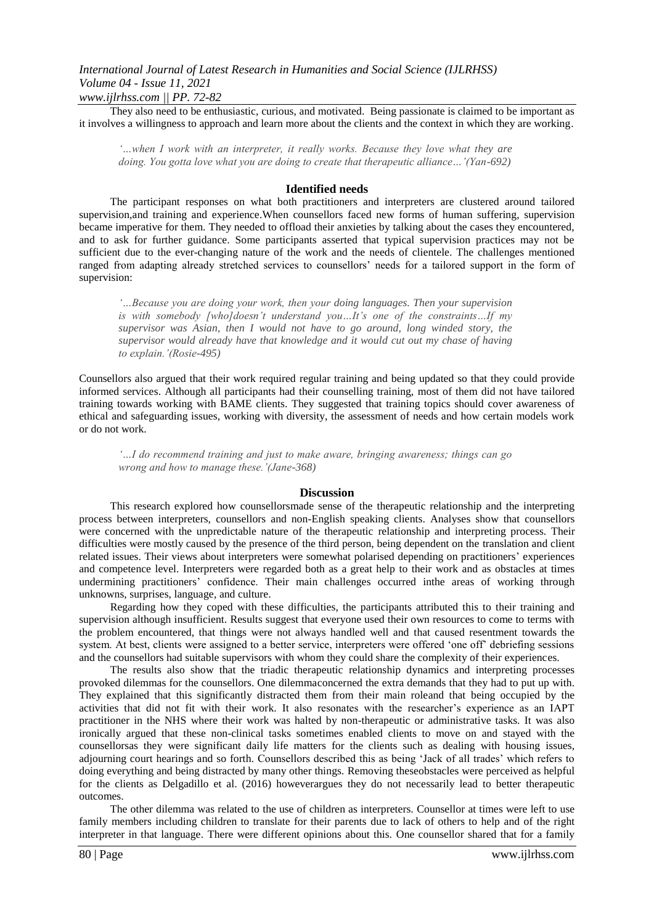They also need to be enthusiastic, curious, and motivated. Being passionate is claimed to be important as it involves a willingness to approach and learn more about the clients and the context in which they are working.

*'…when I work with an interpreter, it really works. Because they love what they are doing. You gotta love what you are doing to create that therapeutic alliance…'(Yan-692)*

#### **Identified needs**

The participant responses on what both practitioners and interpreters are clustered around tailored supervision,and training and experience.When counsellors faced new forms of human suffering, supervision became imperative for them. They needed to offload their anxieties by talking about the cases they encountered, and to ask for further guidance. Some participants asserted that typical supervision practices may not be sufficient due to the ever-changing nature of the work and the needs of clientele. The challenges mentioned ranged from adapting already stretched services to counsellors' needs for a tailored support in the form of supervision:

*'…Because you are doing your work, then your doing languages. Then your supervision is with somebody [who]doesn't understand you…It's one of the constraints…If my supervisor was Asian, then I would not have to go around, long winded story, the supervisor would already have that knowledge and it would cut out my chase of having to explain.'(Rosie-495)* 

Counsellors also argued that their work required regular training and being updated so that they could provide informed services. Although all participants had their counselling training, most of them did not have tailored training towards working with BAME clients. They suggested that training topics should cover awareness of ethical and safeguarding issues, working with diversity, the assessment of needs and how certain models work or do not work.

*'…I do recommend training and just to make aware, bringing awareness; things can go wrong and how to manage these.'(Jane-368)*

#### **Discussion**

This research explored how counsellorsmade sense of the therapeutic relationship and the interpreting process between interpreters, counsellors and non-English speaking clients. Analyses show that counsellors were concerned with the unpredictable nature of the therapeutic relationship and interpreting process. Their difficulties were mostly caused by the presence of the third person, being dependent on the translation and client related issues. Their views about interpreters were somewhat polarised depending on practitioners' experiences and competence level. Interpreters were regarded both as a great help to their work and as obstacles at times undermining practitioners' confidence. Their main challenges occurred inthe areas of working through unknowns, surprises, language, and culture.

Regarding how they coped with these difficulties, the participants attributed this to their training and supervision although insufficient. Results suggest that everyone used their own resources to come to terms with the problem encountered, that things were not always handled well and that caused resentment towards the system. At best, clients were assigned to a better service, interpreters were offered 'one off' debriefing sessions and the counsellors had suitable supervisors with whom they could share the complexity of their experiences.

The results also show that the triadic therapeutic relationship dynamics and interpreting processes provoked dilemmas for the counsellors. One dilemmaconcerned the extra demands that they had to put up with. They explained that this significantly distracted them from their main roleand that being occupied by the activities that did not fit with their work. It also resonates with the researcher's experience as an IAPT practitioner in the NHS where their work was halted by non-therapeutic or administrative tasks. It was also ironically argued that these non-clinical tasks sometimes enabled clients to move on and stayed with the counsellorsas they were significant daily life matters for the clients such as dealing with housing issues, adjourning court hearings and so forth. Counsellors described this as being 'Jack of all trades' which refers to doing everything and being distracted by many other things. Removing theseobstacles were perceived as helpful for the clients as Delgadillo et al. (2016) howeverargues they do not necessarily lead to better therapeutic outcomes.

The other dilemma was related to the use of children as interpreters. Counsellor at times were left to use family members including children to translate for their parents due to lack of others to help and of the right interpreter in that language. There were different opinions about this. One counsellor shared that for a family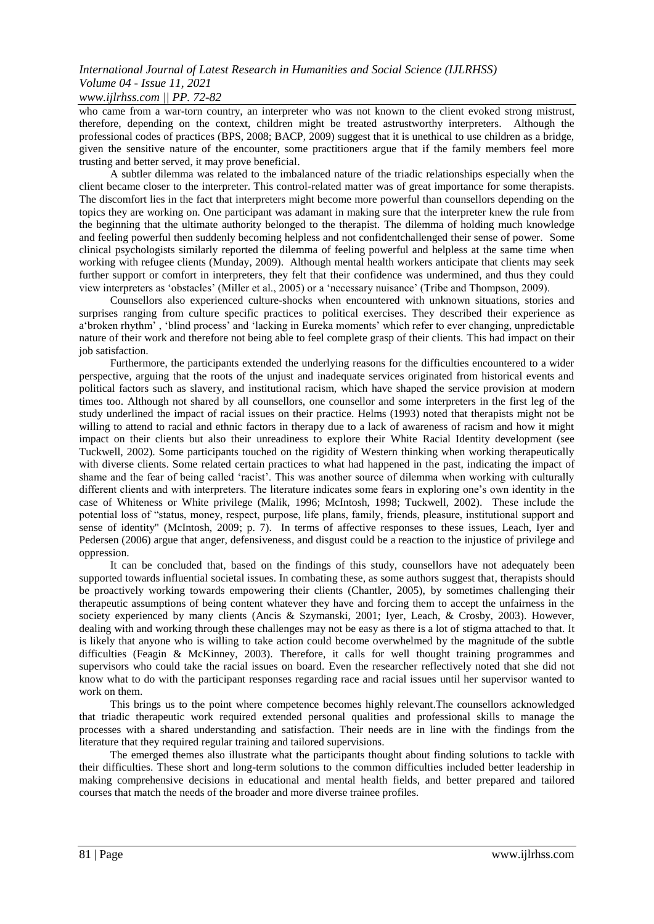### *www.ijlrhss.com || PP. 72-82*

who came from a war-torn country, an interpreter who was not known to the client evoked strong mistrust, therefore, depending on the context, children might be treated astrustworthy interpreters. Although the professional codes of practices (BPS, 2008; BACP, 2009) suggest that it is unethical to use children as a bridge, given the sensitive nature of the encounter, some practitioners argue that if the family members feel more trusting and better served, it may prove beneficial.

A subtler dilemma was related to the imbalanced nature of the triadic relationships especially when the client became closer to the interpreter. This control-related matter was of great importance for some therapists. The discomfort lies in the fact that interpreters might become more powerful than counsellors depending on the topics they are working on. One participant was adamant in making sure that the interpreter knew the rule from the beginning that the ultimate authority belonged to the therapist. The dilemma of holding much knowledge and feeling powerful then suddenly becoming helpless and not confidentchallenged their sense of power. Some clinical psychologists similarly reported the dilemma of feeling powerful and helpless at the same time when working with refugee clients (Munday, 2009). Although mental health workers anticipate that clients may seek further support or comfort in interpreters, they felt that their confidence was undermined, and thus they could view interpreters as 'obstacles' (Miller et al., 2005) or a 'necessary nuisance' (Tribe and Thompson, 2009).

Counsellors also experienced culture-shocks when encountered with unknown situations, stories and surprises ranging from culture specific practices to political exercises. They described their experience as a'broken rhythm' , 'blind process' and 'lacking in Eureka moments' which refer to ever changing, unpredictable nature of their work and therefore not being able to feel complete grasp of their clients. This had impact on their job satisfaction.

Furthermore, the participants extended the underlying reasons for the difficulties encountered to a wider perspective, arguing that the roots of the unjust and inadequate services originated from historical events and political factors such as slavery, and institutional racism, which have shaped the service provision at modern times too. Although not shared by all counsellors, one counsellor and some interpreters in the first leg of the study underlined the impact of racial issues on their practice. Helms (1993) noted that therapists might not be willing to attend to racial and ethnic factors in therapy due to a lack of awareness of racism and how it might impact on their clients but also their unreadiness to explore their White Racial Identity development (see Tuckwell, 2002). Some participants touched on the rigidity of Western thinking when working therapeutically with diverse clients. Some related certain practices to what had happened in the past, indicating the impact of shame and the fear of being called 'racist'. This was another source of dilemma when working with culturally different clients and with interpreters. The literature indicates some fears in exploring one's own identity in the case of Whiteness or White privilege (Malik, 1996; McIntosh, 1998; Tuckwell, 2002). These include the potential loss of "status, money, respect, purpose, life plans, family, friends, pleasure, institutional support and sense of identity" (McIntosh, 2009; p. 7). In terms of affective responses to these issues, Leach, Iyer and Pedersen (2006) argue that anger, defensiveness, and disgust could be a reaction to the injustice of privilege and oppression.

It can be concluded that, based on the findings of this study, counsellors have not adequately been supported towards influential societal issues. In combating these, as some authors suggest that, therapists should be proactively working towards empowering their clients (Chantler, 2005), by sometimes challenging their therapeutic assumptions of being content whatever they have and forcing them to accept the unfairness in the society experienced by many clients (Ancis & Szymanski, 2001; Iyer, Leach, & Crosby, 2003). However, dealing with and working through these challenges may not be easy as there is a lot of stigma attached to that. It is likely that anyone who is willing to take action could become overwhelmed by the magnitude of the subtle difficulties (Feagin & McKinney, 2003). Therefore, it calls for well thought training programmes and supervisors who could take the racial issues on board. Even the researcher reflectively noted that she did not know what to do with the participant responses regarding race and racial issues until her supervisor wanted to work on them.

This brings us to the point where competence becomes highly relevant.The counsellors acknowledged that triadic therapeutic work required extended personal qualities and professional skills to manage the processes with a shared understanding and satisfaction. Their needs are in line with the findings from the literature that they required regular training and tailored supervisions.

The emerged themes also illustrate what the participants thought about finding solutions to tackle with their difficulties. These short and long-term solutions to the common difficulties included better leadership in making comprehensive decisions in educational and mental health fields, and better prepared and tailored courses that match the needs of the broader and more diverse trainee profiles.